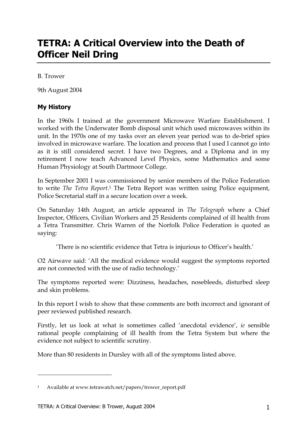# **TETRA: A Critical Overview into the Death of Officer Neil Dring**

B. Trower

9th August 2004

#### **My History**

In the 1960s I trained at the government Microwave Warfare Establishment. I worked with the Underwater Bomb disposal unit which used microwaves within its unit. In the 1970s one of my tasks over an eleven year period was to de-brief spies involved in microwave warfare. The location and process that I used I cannot go into as it is still considered secret. I have two Degrees, and a Diploma and in my retirement I now teach Advanced Level Physics, some Mathematics and some Human Physiology at South Dartmoor College.

In September 2001 I was commissioned by senior members of the Police Federation to write *The Tetra Report*. 1 The Tetra Report was written using Police equipment, Police Secretarial staff in a secure location over a week.

On Saturday 14th August, an article appeared in *The Telegraph* where a Chief Inspector, Officers, Civilian Workers and 25 Residents complained of ill health from a Tetra Transmitter. Chris Warren of the Norfolk Police Federation is quoted as saying:

'There is no scientific evidence that Tetra is injurious to Officer's health.'

O2 Airwave said: 'All the medical evidence would suggest the symptoms reported are not connected with the use of radio technology.'

The symptoms reported were: Dizziness, headaches, nosebleeds, disturbed sleep and skin problems.

In this report I wish to show that these comments are both incorrect and ignorant of peer reviewed published research.

Firstly, let us look at what is sometimes called 'anecdotal evidence', *ie* sensible rational people complaining of ill health from the Tetra System but where the evidence not subject to scientific scrutiny.

More than 80 residents in Dursley with all of the symptoms listed above.

-

<sup>1</sup> Available at www.tetrawatch.net/papers/trower\_report.pdf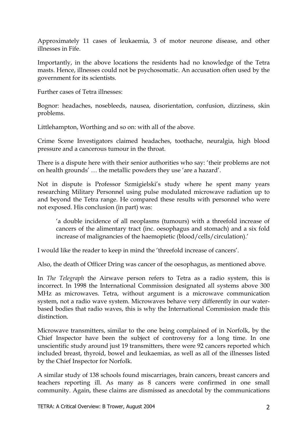Approximately 11 cases of leukaemia, 3 of motor neurone disease, and other illnesses in Fife.

Importantly, in the above locations the residents had no knowledge of the Tetra masts. Hence, illnesses could not be psychosomatic. An accusation often used by the government for its scientists.

Further cases of Tetra illnesses:

Bognor: headaches, nosebleeds, nausea, disorientation, confusion, dizziness, skin problems.

Littlehampton, Worthing and so on: with all of the above.

Crime Scene Investigators claimed headaches, toothache, neuralgia, high blood pressure and a cancerous tumour in the throat.

There is a dispute here with their senior authorities who say: 'their problems are not on health grounds' … the metallic powders they use 'are a hazard'.

Not in dispute is Professor Szmigielski's study where he spent many years researching Military Personnel using pulse modulated microwave radiation up to and beyond the Tetra range. He compared these results with personnel who were not exposed. His conclusion (in part) was:

'a double incidence of all neoplasms (tumours) with a threefold increase of cancers of the alimentary tract (inc. oesophagus and stomach) and a six fold increase of malignancies of the haemopietic (blood/cells/circulation).'

I would like the reader to keep in mind the 'threefold increase of cancers'.

Also, the death of Officer Dring was cancer of the oesophagus, as mentioned above.

In *The Telegraph* the Airwave person refers to Tetra as a radio system, this is incorrect. In 1998 the International Commission designated all systems above 300 MHz as microwaves. Tetra, without argument is a microwave communication system, not a radio wave system. Microwaves behave very differently in our waterbased bodies that radio waves, this is why the International Commission made this distinction.

Microwave transmitters, similar to the one being complained of in Norfolk, by the Chief Inspector have been the subject of controversy for a long time. In one unscientific study around just 19 transmitters, there were 92 cancers reported which included breast, thyroid, bowel and leukaemias, as well as all of the illnesses listed by the Chief Inspector for Norfolk.

A similar study of 138 schools found miscarriages, brain cancers, breast cancers and teachers reporting ill. As many as 8 cancers were confirmed in one small community. Again, these claims are dismissed as anecdotal by the communications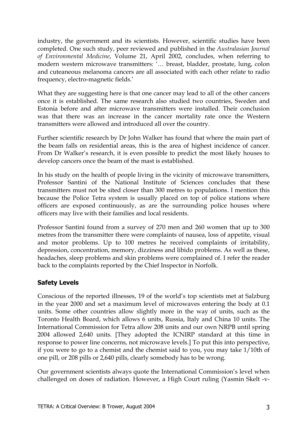industry, the government and its scientists. However, scientific studies have been completed. One such study, peer reviewed and published in the *Australasian Journal of Environmental Medicine*, Volume 21, April 2002, concludes, when referring to modern western microwave transmitters: '… breast, bladder, prostate, lung, colon and cuteaneous melanoma cancers are all associated with each other relate to radio frequency, electro-magnetic fields.'

What they are suggesting here is that one cancer may lead to all of the other cancers once it is established. The same research also studied two countries, Sweden and Estonia before and after microwave transmitters were installed. Their conclusion was that there was an increase in the cancer mortality rate once the Western transmitters were allowed and introduced all over the country.

Further scientific research by Dr John Walker has found that where the main part of the beam falls on residential areas, this is the area of highest incidence of cancer. From Dr Walker's research, it is even possible to predict the most likely houses to develop cancers once the beam of the mast is established.

In his study on the health of people living in the vicinity of microwave transmitters, Professor Santini of the National Institute of Sciences concludes that these transmitters must not be sited closer than 300 metres to populations. I mention this because the Police Tetra system is usually placed on top of police stations where officers are exposed continuously, as are the surrounding police houses where officers may live with their families and local residents.

Professor Santini found from a survey of 270 men and 260 women that up to 300 metres from the transmitter there were complaints of nausea, loss of appetite, visual and motor problems. Up to 100 metres he received complaints of irritability, depression, concentration, memory, dizziness and libido problems. As well as these, headaches, sleep problems and skin problems were complained of. I refer the reader back to the complaints reported by the Chief Inspector in Norfolk.

## **Safety Levels**

Conscious of the reported illnesses, 19 of the world's top scientists met at Salzburg in the year 2000 and set a maximum level of microwaves entering the body at 0.1 units. Some other countries allow slightly more in the way of units, such as the Toronto Health Board, which allows 6 units, Russia, Italy and China 10 units. The International Commission for Tetra allow 208 units and our own NRPB until spring 2004 allowed 2,640 units. [They adopted the ICNIRP standard at this time in response to power line concerns, not microwave levels.] To put this into perspective, if you were to go to a chemist and the chemist said to you, you may take 1/10th of one pill, or 208 pills or 2,640 pills, clearly somebody has to be wrong.

Our government scientists always quote the International Commission's level when challenged on doses of radiation. However, a High Court ruling (Yasmin Skelt -v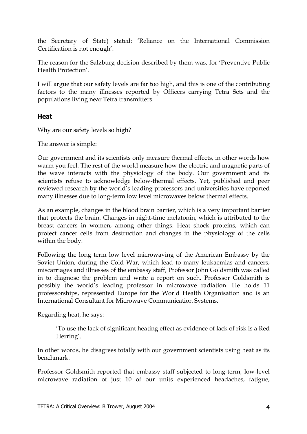the Secretary of State) stated: 'Reliance on the International Commission Certification is not enough'.

The reason for the Salzburg decision described by them was, for 'Preventive Public Health Protection'.

I will argue that our safety levels are far too high, and this is one of the contributing factors to the many illnesses reported by Officers carrying Tetra Sets and the populations living near Tetra transmitters.

#### **Heat**

Why are our safety levels so high?

The answer is simple:

Our government and its scientists only measure thermal effects, in other words how warm you feel. The rest of the world measure how the electric and magnetic parts of the wave interacts with the physiology of the body. Our government and its scientists refuse to acknowledge below-thermal effects. Yet, published and peer reviewed research by the world's leading professors and universities have reported many illnesses due to long-term low level microwaves below thermal effects.

As an example, changes in the blood brain barrier, which is a very important barrier that protects the brain. Changes in night-time melatonin, which is attributed to the breast cancers in women, among other things. Heat shock proteins, which can protect cancer cells from destruction and changes in the physiology of the cells within the body.

Following the long term low level microwaving of the American Embassy by the Soviet Union, during the Cold War, which lead to many leukaemias and cancers, miscarriages and illnesses of the embassy staff, Professor John Goldsmith was called in to diagnose the problem and write a report on such. Professor Goldsmith is possibly the world's leading professor in microwave radiation. He holds 11 professorships, represented Europe for the World Health Organisation and is an International Consultant for Microwave Communication Systems.

Regarding heat, he says:

'To use the lack of significant heating effect as evidence of lack of risk is a Red Herring'.

In other words, he disagrees totally with our government scientists using heat as its benchmark.

Professor Goldsmith reported that embassy staff subjected to long-term, low-level microwave radiation of just 10 of our units experienced headaches, fatigue,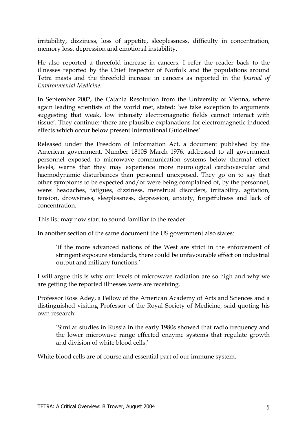irritability, dizziness, loss of appetite, sleeplessness, difficulty in concentration, memory loss, depression and emotional instability.

He also reported a threefold increase in cancers. I refer the reader back to the illnesses reported by the Chief Inspector of Norfolk and the populations around Tetra masts and the threefold increase in cancers as reported in the *Journal of Environmental Medicine*.

In September 2002, the Catania Resolution from the University of Vienna, where again leading scientists of the world met, stated: 'we take exception to arguments suggesting that weak, low intensity electromagnetic fields cannot interact with tissue'. They continue: 'there are plausible explanations for electromagnetic induced effects which occur below present International Guidelines'.

Released under the Freedom of Information Act, a document published by the American government, Number 1810S March 1976, addressed to all government personnel exposed to microwave communication systems below thermal effect levels, warns that they may experience more neurological cardiovascular and haemodynamic disturbances than personnel unexposed. They go on to say that other symptoms to be expected and/or were being complained of, by the personnel, were: headaches, fatigues, dizziness, menstrual disorders, irritability, agitation, tension, drowsiness, sleeplessness, depression, anxiety, forgetfulness and lack of concentration.

This list may now start to sound familiar to the reader.

In another section of the same document the US government also states:

'if the more advanced nations of the West are strict in the enforcement of stringent exposure standards, there could be unfavourable effect on industrial output and military functions.'

I will argue this is why our levels of microwave radiation are so high and why we are getting the reported illnesses were are receiving.

Professor Ross Adey, a Fellow of the American Academy of Arts and Sciences and a distinguished visiting Professor of the Royal Society of Medicine, said quoting his own research:

'Similar studies in Russia in the early 1980s showed that radio frequency and the lower microwave range effected enzyme systems that regulate growth and division of white blood cells.'

White blood cells are of course and essential part of our immune system.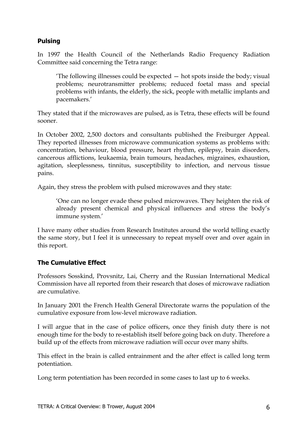## **Pulsing**

In 1997 the Health Council of the Netherlands Radio Frequency Radiation Committee said concerning the Tetra range:

'The following illnesses could be expected — hot spots inside the body; visual problems; neurotransmitter problems; reduced foetal mass and special problems with infants, the elderly, the sick, people with metallic implants and pacemakers.'

They stated that if the microwaves are pulsed, as is Tetra, these effects will be found sooner.

In October 2002, 2,500 doctors and consultants published the Freiburger Appeal. They reported illnesses from microwave communication systems as problems with: concentration, behaviour, blood pressure, heart rhythm, epilepsy, brain disorders, cancerous afflictions, leukaemia, brain tumours, headaches, migraines, exhaustion, agitation, sleeplessness, tinnitus, susceptibility to infection, and nervous tissue pains.

Again, they stress the problem with pulsed microwaves and they state:

'One can no longer evade these pulsed microwaves. They heighten the risk of already present chemical and physical influences and stress the body's immune system.'

I have many other studies from Research Institutes around the world telling exactly the same story, but I feel it is unnecessary to repeat myself over and over again in this report.

## **The Cumulative Effect**

Professors Sosskind, Provsnitz, Lai, Cherry and the Russian International Medical Commission have all reported from their research that doses of microwave radiation are cumulative.

In January 2001 the French Health General Directorate warns the population of the cumulative exposure from low-level microwave radiation.

I will argue that in the case of police officers, once they finish duty there is not enough time for the body to re-establish itself before going back on duty. Therefore a build up of the effects from microwave radiation will occur over many shifts.

This effect in the brain is called entrainment and the after effect is called long term potentiation.

Long term potentiation has been recorded in some cases to last up to 6 weeks.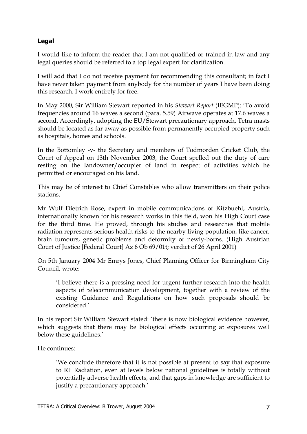## **Legal**

I would like to inform the reader that I am not qualified or trained in law and any legal queries should be referred to a top legal expert for clarification.

I will add that I do not receive payment for recommending this consultant; in fact I have never taken payment from anybody for the number of years I have been doing this research. I work entirely for free.

In May 2000, Sir William Stewart reported in his *Stewart Report* (IEGMP): 'To avoid frequencies around 16 waves a second (para. 5.59) Airwave operates at 17.6 waves a second. Accordingly, adopting the EU/Stewart precautionary approach, Tetra masts should be located as far away as possible from permanently occupied property such as hospitals, homes and schools.

In the Bottomley -v- the Secretary and members of Todmorden Cricket Club, the Court of Appeal on 13th November 2003, the Court spelled out the duty of care resting on the landowner/occupier of land in respect of activities which he permitted or encouraged on his land.

This may be of interest to Chief Constables who allow transmitters on their police stations.

Mr Wulf Dietrich Rose, expert in mobile communications of Kitzbuehl, Austria, internationally known for his research works in this field, won his High Court case for the third time. He proved, through his studies and researches that mobile radiation represents serious health risks to the nearby living population, like cancer, brain tumours, genetic problems and deformity of newly-borns. (High Austrian Court of Justice [Federal Court] Az 6 Ob 69/01t; verdict of 26 April 2001)

On 5th January 2004 Mr Emrys Jones, Chief Planning Officer for Birmingham City Council, wrote:

'I believe there is a pressing need for urgent further research into the health aspects of telecommunication development, together with a review of the existing Guidance and Regulations on how such proposals should be considered.'

In his report Sir William Stewart stated: 'there is now biological evidence however, which suggests that there may be biological effects occurring at exposures well below these guidelines.'

He continues:

'We conclude therefore that it is not possible at present to say that exposure to RF Radiation, even at levels below national guidelines is totally without potentially adverse health effects, and that gaps in knowledge are sufficient to justify a precautionary approach.'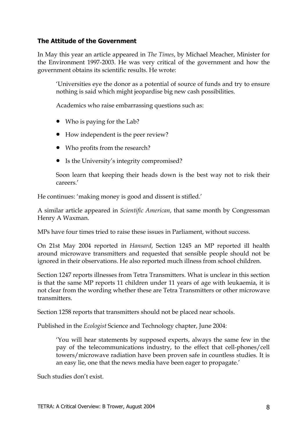#### **The Attitude of the Government**

In May this year an article appeared in *The Times*, by Michael Meacher, Minister for the Environment 1997-2003. He was very critical of the government and how the government obtains its scientific results. He wrote:

'Universities eye the donor as a potential of source of funds and try to ensure nothing is said which might jeopardise big new cash possibilities.

Academics who raise embarrassing questions such as:

- Who is paying for the Lab?
- How independent is the peer review?
- Who profits from the research?
- Is the University's integrity compromised?

Soon learn that keeping their heads down is the best way not to risk their careers.'

He continues: 'making money is good and dissent is stifled.'

A similar article appeared in *Scientific American*, that same month by Congressman Henry A Waxman.

MPs have four times tried to raise these issues in Parliament, without success.

On 21st May 2004 reported in *Hansard*, Section 1245 an MP reported ill health around microwave transmitters and requested that sensible people should not be ignored in their observations. He also reported much illness from school children.

Section 1247 reports illnesses from Tetra Transmitters. What is unclear in this section is that the same MP reports 11 children under 11 years of age with leukaemia, it is not clear from the wording whether these are Tetra Transmitters or other microwave transmitters.

Section 1258 reports that transmitters should not be placed near schools.

Published in the *Ecologist* Science and Technology chapter, June 2004:

'You will hear statements by supposed experts, always the same few in the pay of the telecommunications industry, to the effect that cell-phones/cell towers/microwave radiation have been proven safe in countless studies. It is an easy lie, one that the news media have been eager to propagate.'

Such studies don't exist.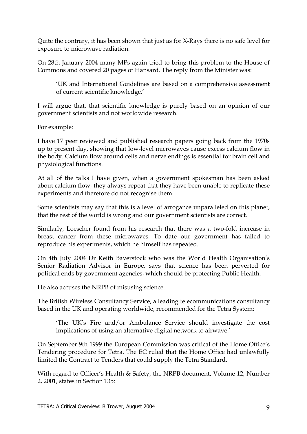Quite the contrary, it has been shown that just as for X-Rays there is no safe level for exposure to microwave radiation.

On 28th January 2004 many MPs again tried to bring this problem to the House of Commons and covered 20 pages of Hansard. The reply from the Minister was:

'UK and International Guidelines are based on a comprehensive assessment of current scientific knowledge.'

I will argue that, that scientific knowledge is purely based on an opinion of our government scientists and not worldwide research.

For example:

I have 17 peer reviewed and published research papers going back from the 1970s up to present day, showing that low-level microwaves cause excess calcium flow in the body. Calcium flow around cells and nerve endings is essential for brain cell and physiological functions.

At all of the talks I have given, when a government spokesman has been asked about calcium flow, they always repeat that they have been unable to replicate these experiments and therefore do not recognise them.

Some scientists may say that this is a level of arrogance unparalleled on this planet, that the rest of the world is wrong and our government scientists are correct.

Similarly, Loescher found from his research that there was a two-fold increase in breast cancer from these microwaves. To date our government has failed to reproduce his experiments, which he himself has repeated.

On 4th July 2004 Dr Keith Baverstock who was the World Health Organisation's Senior Radiation Advisor in Europe, says that science has been perverted for political ends by government agencies, which should be protecting Public Health.

He also accuses the NRPB of misusing science.

The British Wireless Consultancy Service, a leading telecommunications consultancy based in the UK and operating worldwide, recommended for the Tetra System:

'The UK's Fire and/or Ambulance Service should investigate the cost implications of using an alternative digital network to airwave.'

On September 9th 1999 the European Commission was critical of the Home Office's Tendering procedure for Tetra. The EC ruled that the Home Office had unlawfully limited the Contract to Tenders that could supply the Tetra Standard.

With regard to Officer's Health & Safety, the NRPB document, Volume 12, Number 2, 2001, states in Section 135: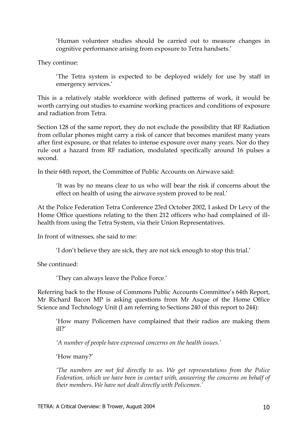'Human volunteer studies should be carried out to measure changes in cognitive performance arising from exposure to Tetra handsets.'

They continue:

'The Tetra system is expected to be deployed widely for use by staff in emergency services.'

This is a relatively stable workforce with defined patterns of work, it would be worth carrying out studies to examine working practices and conditions of exposure and radiation from Tetra.

Section 128 of the same report, they do not exclude the possibility that RF Radiation from cellular phones might carry a risk of cancer that becomes manifest many years after first exposure, or that relates to intense exposure over many years. Nor do they rule out a hazard from RF radiation, modulated specifically around 16 pulses a second.

In their 64th report, the Committee of Public Accounts on Airwave said:

'It was by no means clear to us who will bear the risk if concerns about the effect on health of using the airwave system proved to be real.'

At the Police Federation Tetra Conference 23rd October 2002, I asked Dr Levy of the Home Office questions relating to the then 212 officers who had complained of illhealth from using the Tetra System, via their Union Representatives.

In front of witnesses, she said to me:

'I don't believe they are sick, they are not sick enough to stop this trial.'

She continued:

'They can always leave the Police Force.'

Referring back to the House of Commons Public Accounts Committee's 64th Report, Mr Richard Bacon MP is asking questions from Mr Asque of the Home Office Science and Technology Unit (I am referring to Sections 240 of this report to 244):

'How many Policemen have complained that their radios are making them ill?'

*'A number of people have expressed concerns on the health issues.'*

'How many?'

*'The numbers are not fed directly to us. We get representations from the Police Federation, which we have been in contact with, answering the concerns on behalf of their members. We have not dealt directly with Policemen.'*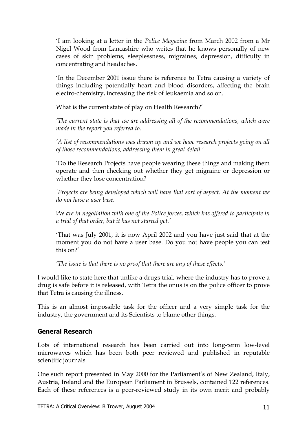'I am looking at a letter in the *Police Magazine* from March 2002 from a Mr Nigel Wood from Lancashire who writes that he knows personally of new cases of skin problems, sleeplessness, migraines, depression, difficulty in concentrating and headaches.

'In the December 2001 issue there is reference to Tetra causing a variety of things including potentially heart and blood disorders, affecting the brain electro-chemistry, increasing the risk of leukaemia and so on.

What is the current state of play on Health Research?'

*'The current state is that we are addressing all of the recommendations, which were made in the report you referred to.*

*'A list of recommendations was drawn up and we have research projects going on all of those recommendations, addressing them in great detail.'*

'Do the Research Projects have people wearing these things and making them operate and then checking out whether they get migraine or depression or whether they lose concentration?

*'Projects are being developed which will have that sort of aspect. At the moment we do not have a user base.*

*We are in negotiation with one of the Police forces, which has offered to participate in a trial of that order, but it has not started yet.'*

'That was July 2001, it is now April 2002 and you have just said that at the moment you do not have a user base. Do you not have people you can test this on?'

*'The issue is that there is no proof that there are any of these effects.'*

I would like to state here that unlike a drugs trial, where the industry has to prove a drug is safe before it is released, with Tetra the onus is on the police officer to prove that Tetra is causing the illness.

This is an almost impossible task for the officer and a very simple task for the industry, the government and its Scientists to blame other things.

#### **General Research**

Lots of international research has been carried out into long-term low-level microwaves which has been both peer reviewed and published in reputable scientific journals.

One such report presented in May 2000 for the Parliament's of New Zealand, Italy, Austria, Ireland and the European Parliament in Brussels, contained 122 references. Each of these references is a peer-reviewed study in its own merit and probably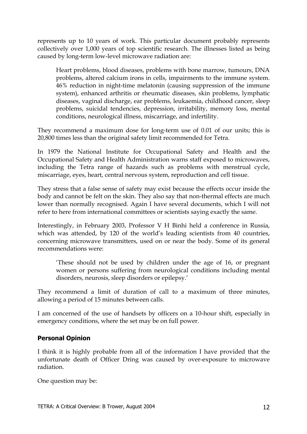represents up to 10 years of work. This particular document probably represents collectively over 1,000 years of top scientific research. The illnesses listed as being caused by long-term low-level microwave radiation are:

Heart problems, blood diseases, problems with bone marrow, tumours, DNA problems, altered calcium irons in cells, impairments to the immune system. 46% reduction in night-time melatonin (causing suppression of the immune system), enhanced arthritis or rheumatic diseases, skin problems, lymphatic diseases, vaginal discharge, ear problems, leukaemia, childhood cancer, sleep problems, suicidal tendencies, depression, irritability, memory loss, mental conditions, neurological illness, miscarriage, and infertility.

They recommend a maximum dose for long-term use of 0.01 of our units; this is 20,800 times less than the original safety limit recommended for Tetra.

In 1979 the National Institute for Occupational Safety and Health and the Occupational Safety and Health Administration warns staff exposed to microwaves, including the Tetra range of hazards such as problems with menstrual cycle, miscarriage, eyes, heart, central nervous system, reproduction and cell tissue.

They stress that a false sense of safety may exist because the effects occur inside the body and cannot be felt on the skin. They also say that non-thermal effects are much lower than normally recognised. Again I have several documents, which I will not refer to here from international committees or scientists saying exactly the same.

Interestingly, in February 2003, Professor V H Binhi held a conference in Russia, which was attended, by 120 of the world's leading scientists from 40 countries, concerning microwave transmitters, used on or near the body. Some of its general recommendations were:

'These should not be used by children under the age of 16, or pregnant women or persons suffering from neurological conditions including mental disorders, neurosis, sleep disorders or epilepsy.'

They recommend a limit of duration of call to a maximum of three minutes, allowing a period of 15 minutes between calls.

I am concerned of the use of handsets by officers on a 10-hour shift, especially in emergency conditions, where the set may be on full power.

## **Personal Opinion**

I think it is highly probable from all of the information I have provided that the unfortunate death of Officer Dring was caused by over-exposure to microwave radiation.

One question may be: